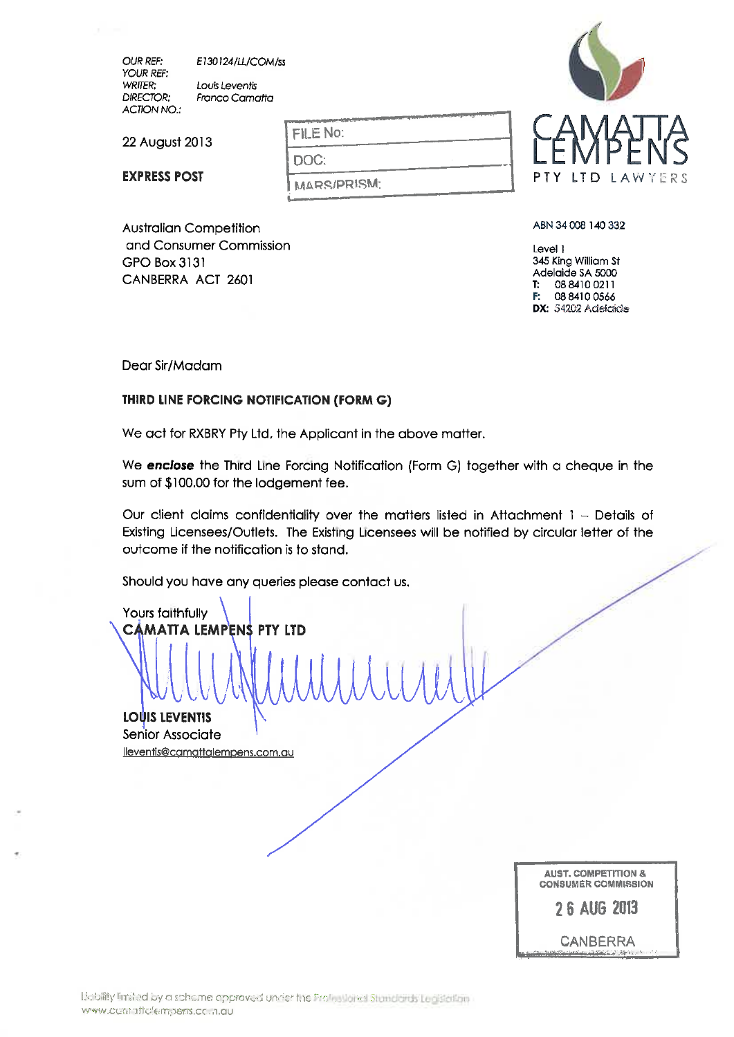OUR REF: YOUR REF: WRITER: DIRECTOR: ACTION NO.: EI30124/U./COM/S5 Louis Levent's Franco Camatta

Australian Competition and Consumer Commission

CANBERRA ACT 2601

22 August 2013

EXPRESS POST

GPO Box 3131

FILE No: DOC: ^fl&RRfPRIf5M:



ABN 34 008 140 332

Level 1 345 King William St Adelaide SA 5000 T: 0884100211 **F:** 08 8410 0566 DX: 54202 Adelaide

Dear Sir/Madam

# THIRD LINE FORCING NOTIFICATION (FORM G)

We act for RXBRY Pty Ltd, the Applicant in the above matter.

We **enclose** the Third Line Forcing Notification (Form G) together with a cheque in the sum of \$100.00 for the lodgement fee.

Our client claims confidentiality over the matters listed in Attachment  $1 -$  Details of Existing Licensees/Outlets. The Existing Licensees will be notified by circular letter of the outcome if the notification is to stand.

Should you have any queries please contact us.

Yours faithfully **CAMATTA LEMPENS PTY LTD** 

**LOUIS LEVENTIS** Senior Associate lleventis@camattalemoens.com.au

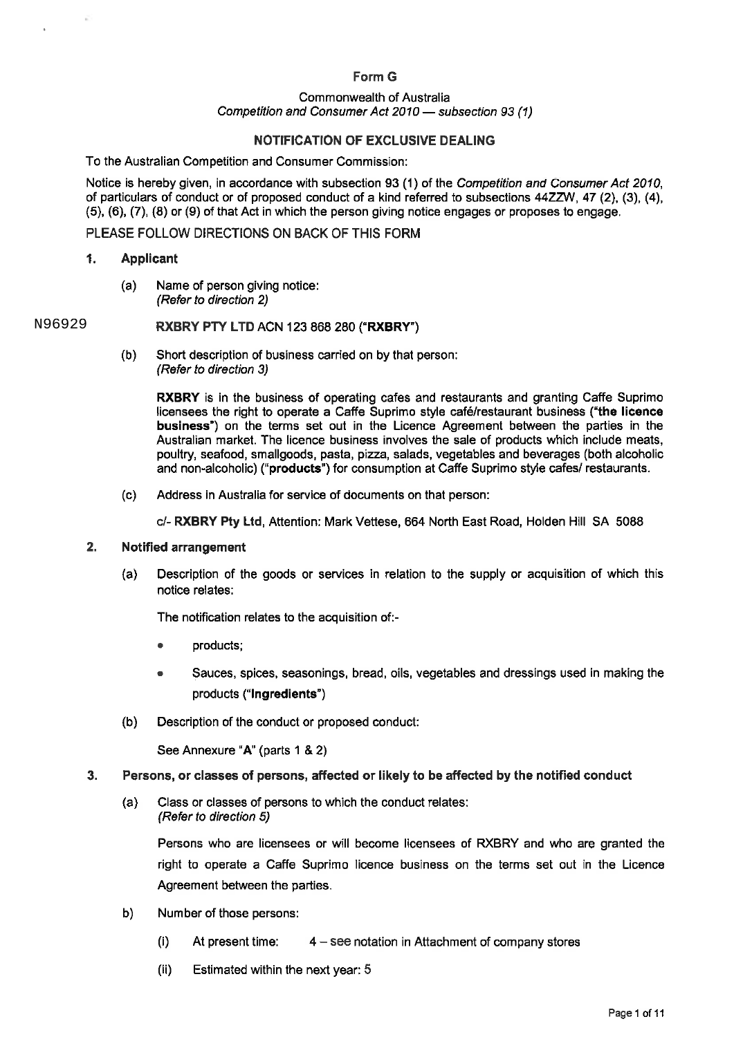# Form G

#### Commonwealth of Australia Competition and Consumer Act 2010 - subsection 93 (1)

#### NOTIFICATION OF EXCLUSIVE DEALING

To the Australian Competition and Consumer Commission:

Notice is hereby given, in accordance with subsection 93 (1) of the Competition and Consumer Act 2010, of particulars of conduct or of proposed conduct of a kind referred to subsections 44ZZW, 47 (2), (3),(4), (5), (6), (7), (8)or (9) of that Act in which the person giving notice engages or proposes to engage.

#### PLEASE FOLLOW DIRECTIONS ON BACK OF THIS FORM

#### 1. Applicant

(a) Name of person giving notice: (Refer to direction 2)

#### RXBRY PTY LTD ACN 123 868 280 ("RXBRY") N96929

(b) Short description of business carried on by that person: (Refer to direction 3)

> RXBRY is in the business of operating cafes and restaurants and granting Caffe Suprimo licensees the right to operate a Caffe Suprimo style cafe/restaurant business ("the licence business") on the terms set out in the Licence Agreement between the parties in the Australian market. The licence business involves the sale of products which include meats, poultry, seafood, smallgoods, pasta, pizza, salads, vegetables and beverages (both alcoholic and non-alcoholic) ("products") for consumption at Gaffe Suprimo style cafes/ restaurants.

(c) Address in Australia for service of documents on that person:

c/- RXBRY Pty Ltd, Attention: Mark Vettese, 664 North East Road, Holden Hill SA 5088

#### 2. Notified arrangement

(a) Description of the goods or services in relation to the supply or acquisition of which this notice relates:

The notification relates to the acquisition of:-

- . products;
- . Sauces, spices, seasonings, bread, oils, vegetables and dressings used in making the products ("Ingredients")
- (b) Description of the conduct or proposed conduct:

See Annexure "A"(parts 1 & 2)

#### 3. Persons, or classes of persons, affected or likely to be affected by the notified conduct

(a) Class or classes of persons to which the conduct relates: (Refer to direction 5)

Persons who are licensees or will become licensees of RXBRY and who are granted the right to operate a Caffe Suprimo licence business on the terms set out in the Licence Agreement between the parties.

- b) Number of those persons:
	- (i) At present time:  $4 -$  see notation in Attachment of company stores
	- (ii) Estimated within the next year: 5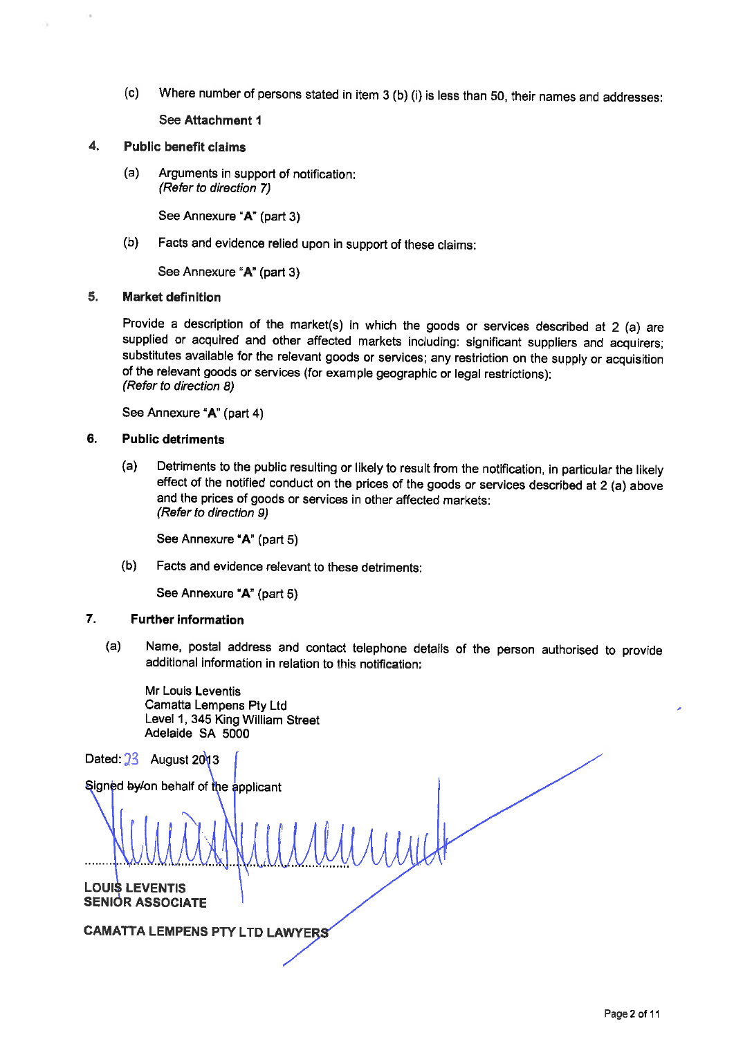(c) Where number of persons stated in item 3 (b) (i) is less than 50, their names and addresses:

See Attachment 1

## 4. Public benefit claims

(a) Arguments in support of notification: (Refer to direction 7)

See Annexure "A" (part 3)

(b) Facts and evidence relied upon in support of these claims:

See Annexure "A" (part 3)

## 5. Market definition

Provide a description of the market(s) in which the goods or services described at 2 (a) are supplied or acquired and other affected markets including: significant suppliers and acquirers; substitutes available for the relevant goods or services; any restriction on the supply or acquisition of the relevant goods or services (for example geographic or legal restrictions): (Refer to direction 8)

See Annexure "A" (part 4)

### 6. Public detriments

(a) Detriments to the public resulting or likely to result from the notification, in particular the likely effect of the notified conduct on the prices of the goods or services described at 2 (a) above and the prices of goods or services in other affected markets: (Refer to direction 9)

See Annexure "A" (part 5)

(b) Facts and evidence relevant to these detriments:

See Annexure "A" (part 5)

# 7. Further information

(a) Name, postal address and contact telephone details of the person authorised to provide additional information in relation to this notification:

Mr Louis Leventis Camatta Lempens Pty Ltd Level 1, 345 King William Street Adelaide SA 5000

Dated:  $23$  August 2013

Signed by/on behalf of the applicant

LOUI\$ LEVENTIS SENIOR ASSOCIATE

CAMATTA LEMPENS PTY LTD LAWYE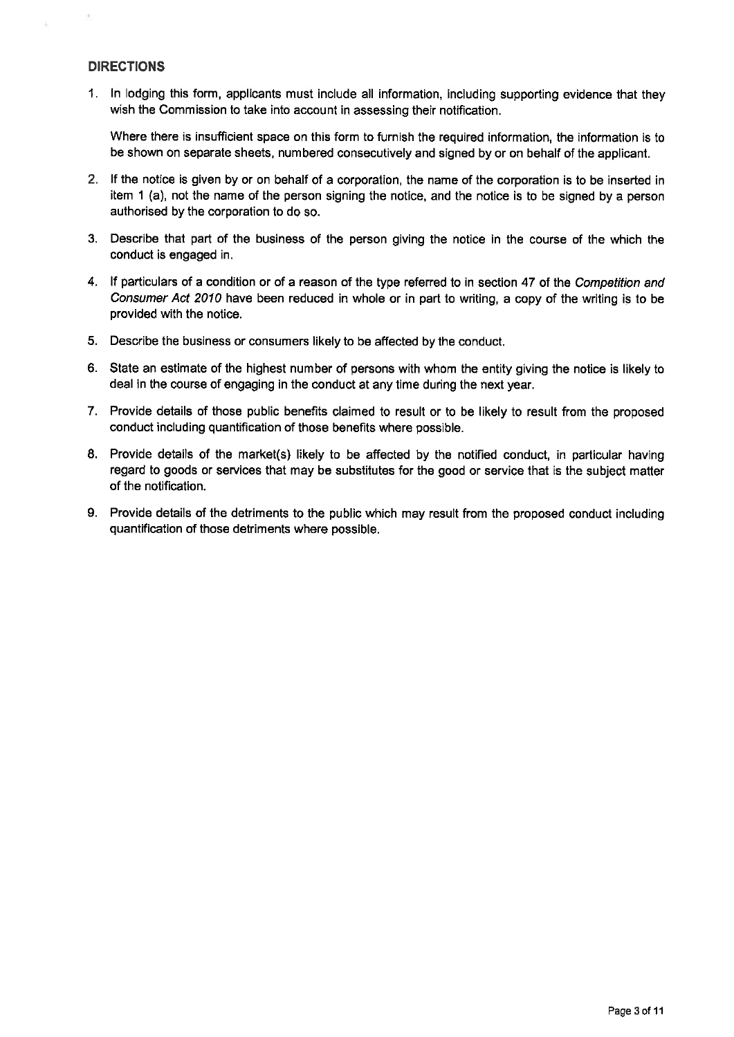# DIRECTIONS

ò.

1. In lodging this form, applicants must include all information, including supporting evidence that they wish the Commission to take into account in assessing their notification.

Where there is insufficient space on this form to furnish the required information, the information is to be shown on separate sheets, numbered consecutively and signed by or on behalf of the applicant.

- 2. If the notice is given by or on behalf of a corporation, the name of the corporation is to be inserted in item 1 (a), not the name of the person signing the notice, and the notice is to be signed by a person authorised by the corporation to do so.
- 3. Describe that part of the business of the person giving the notice in the course of the which the conduct is engaged in.
- 4. If particulars of a condition or of a reason of the type referred to in section 47 of the Competition and Consumer Act 2010 have been reduced in whole or in part to writing, a copy of the writing is to be provided with the notice.
- 5. Describe the business or consumers likely to be affected by the conduct.
- 6. State an estimate of the highest number of persons with whom the entity giving the notice is likely to deal in the course of engaging in the conduct at any time during the next year.
- 7. Provide details of those public benefits claimed to result or to be likely to result from the proposed conduct including quantification of those benefits where possible.
- 8. Provide details of the market(s) likely to be affected by the notified conduct, in particular having regard to goods or services that may be substitutes for the good or service that is the subject matter of the notification.
- 9. Provide details of the detriments to the public which may result from the proposed conduct including quantiflcation of those detriments where possible.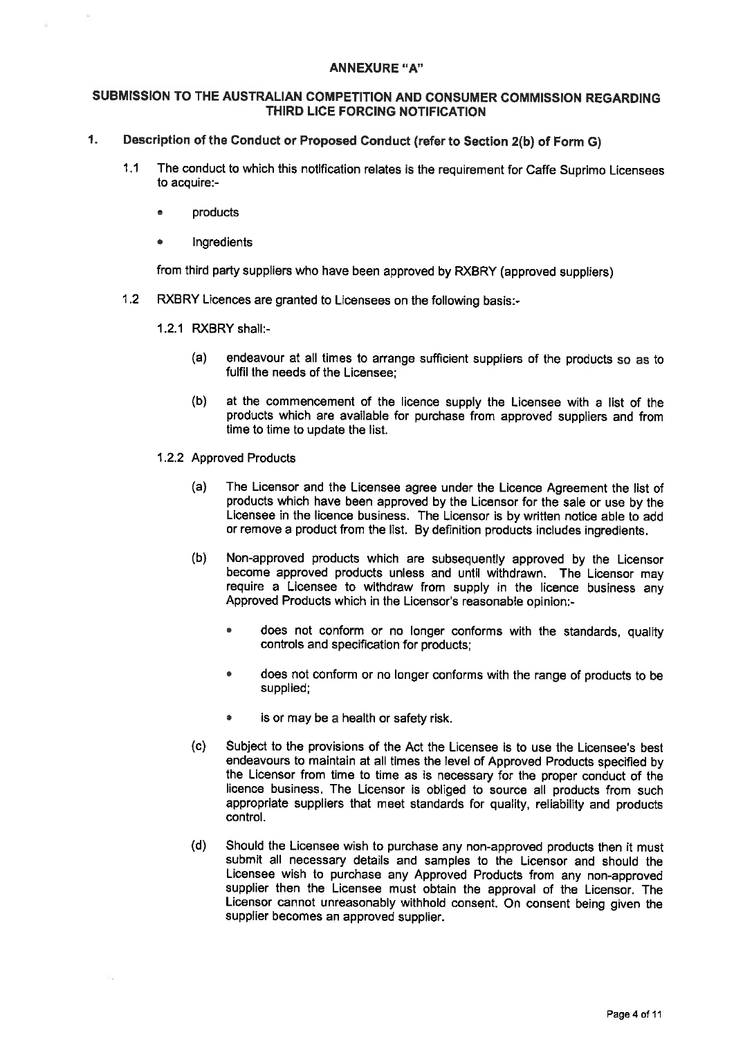#### **ANNEXURE "A"**

#### SUBMISSION TO THE AUSTRALIAN COMPETITION AND CONSUMER COMMISSION REGARDING THIRD LICE FORCING NOTIFICATION

# 1. Description of the Conduct or Proposed Conduct (refer to Section 2(b) of Form G)

- 1.1 The conduct to which this notification relates is the requirement for Caffe Suprimo Licensees to acquire:-
	- . products
	- . Ingredients

from third party suppliers who have been approved by RXBRY (approved suppliers)

- 1.2 RXBRY Licences are granted to Licensees on the following basis:-
	- 1.2.1 RXBRYshall:-
		- (a) endeavour at all times to arrange sufficient suppliers of the products so as to fulfil the needs of the Licensee;
		- (b) at the commencement of the licence supply the Licensee with a list of the products which are available for purchase from approved suppliers and from time to time to update the list.
	- 1.2.2 Approved Products
		- (a) The Licensor and the Licensee agree under the Licence Agreement the list of products which have been approved by the Licensor for the sale or use by the Licensee in the licence business. The Licensor is by written notice able to add or remove a product from the list. By definition products includes ingredients.
		- (b) Non-approved products which are subsequently approved by the Licensor become approved products unless and until withdrawn. The Licensor may require a Licensee to withdraw from supply in the licence business any Approved Products which in the Licensor's reasonable opinion:-
			- . does not conform or no longer conforms with the standards, quality controls and specification for products;
			- . does not conform or no longer conforms with the range of products to be supplied;
			- . is or may be a health or safety risk.
		- (c) Subject to the provisions of the Act the Licensee is to use the Licensee's best endeavours to maintain at all times the level of Approved Products specified by the Licensor from time to time as is necessary for the proper conduct of the licence business. The Licensor is obliged to source all products from such appropriate suppliers that meet standards for quality, reliability and products control.
		- (d) Should the Licensee wish to purchase any non-approved products then it must submit all necessary details and samples to the Licensor and should the Licensee wish to purchase any Approved Products from any non-approved supplier then the Licensee must obtain the approval of the Licensor. The Licensor cannot unreasonably withhold consent. On consent being given the supplier becomes an approved supplier.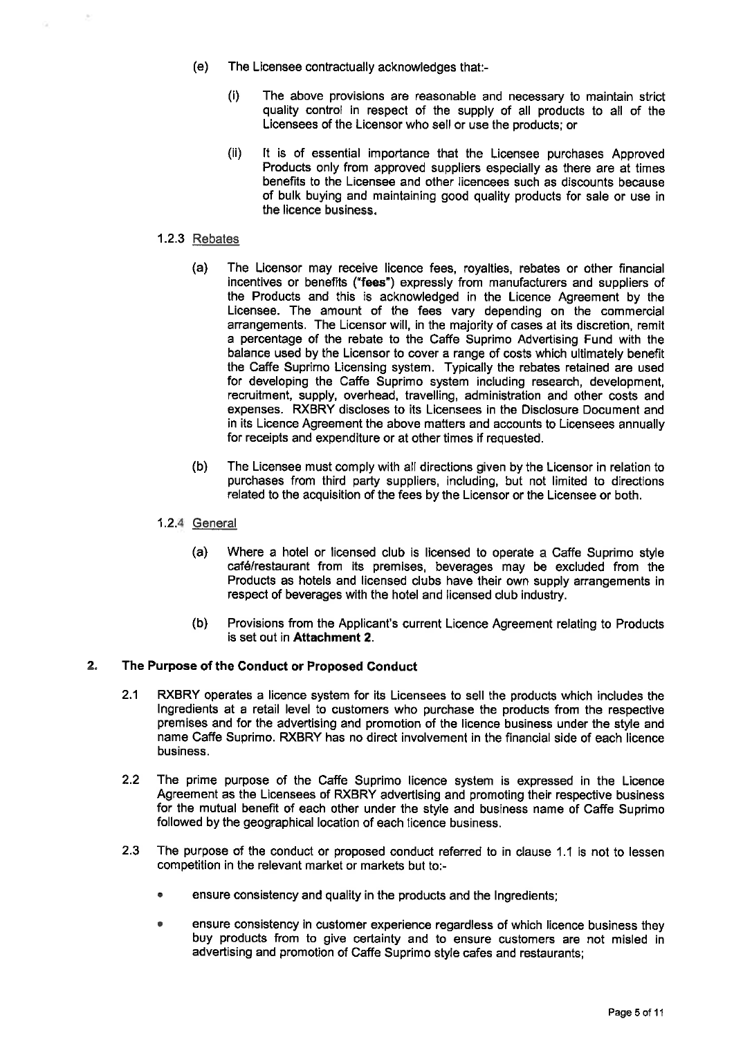- (e) The Licensee contractually acknowledges that:-
	- (i) The above provisions are reasonable and necessary to maintain strict quality control in respect of the supply of all products to all of the Licensees of the Licensor who sell or use the products; or
	- (ii) It is of essential importance that the Licensee purchases Approved Products only from approved suppliers especially as there are at times benefits to the Licensee and other licencees such as discounts because of bulk buying and maintaining good quality products for sale or use in the licence business.

## 1.2.3 Rebates

- (a) The Licensor may receive licence fees, royalties, rebates or other financial incentives or benefits ('fees") expressly from manufacturers and suppliers of the Products and this is acknowledged in the Licence Agreement by the Licensee. The amount of the fees vary depending on the commercial arrangements. The Licensor will, in the majority of cases at its discretion, remit a percentage of the rebate to the Caffe Suprimo Advertising Fund with the balance used by the Licensor to cover a range of costs which ultimately benefit the Caffe Suprimo Licensing system. Typically the rebates retained are used for developing the Caffe Suprimo system including research, development, recruitment, supply, overhead, travelling, administration and other costs and expenses. RXBRY discloses to its Licensees in the Disclosure Document and in its Licence Agreement the above matters and accounts to Licensees annually for receipts and expenditure or at other times if requested.
- (b) The Licensee must comply with all directions given by the Licensor in relation to purchases from third party suppliers, including, but not limited to directions related to the acquisition of the fees by the Licensor or the Licensee or both.

# 1.2.4 General

- (a) Where a hotel or licensed club is licensed to operate a Gaffe Suprimo style café/restaurant from its premises, beverages may be excluded from the Products as hotels and licensed clubs have their own supply arrangements in respect of beverages with the hotel and licensed club industry.
- (b) Provisions from the Applicant's current Licence Agreement relating to Products is set out in Attachment 2.

# 2. The Purpose of the Conduct or Proposed Conduct

- 2.1 RXBRY operates a licence system for its Licensees to sell the products which includes the Ingredients at a retail level to customers who purchase the products from the respective premises and for the advertising and promotion of the licence business under the style and name Caffe Suprimo. RXBRY has no direct involvement in the financial side of each licence business.
- 2.2 The prime purpose of the Gaffe Suprimo licence system is expressed in the Licence Agreement as the Licensees of RXBRY advertising and promoting their respective business for the mutual benefit of each other under the style and business name of Caffe Suprimo followed by the geographical location of each licence business.
- 2.3 The purpose of the conduct or proposed conduct referred to in clause 1.1 is not to lessen competition in the relevant market or markets but to:-
	- . ensure consistency and quality in the products and the Ingredients;
	- . ensure consistency in customer experience regardless of which licence business they buy products from to give certainty and to ensure customers are not misled in advertising and promotion of Caffe Suprimo style cafes and restaurants;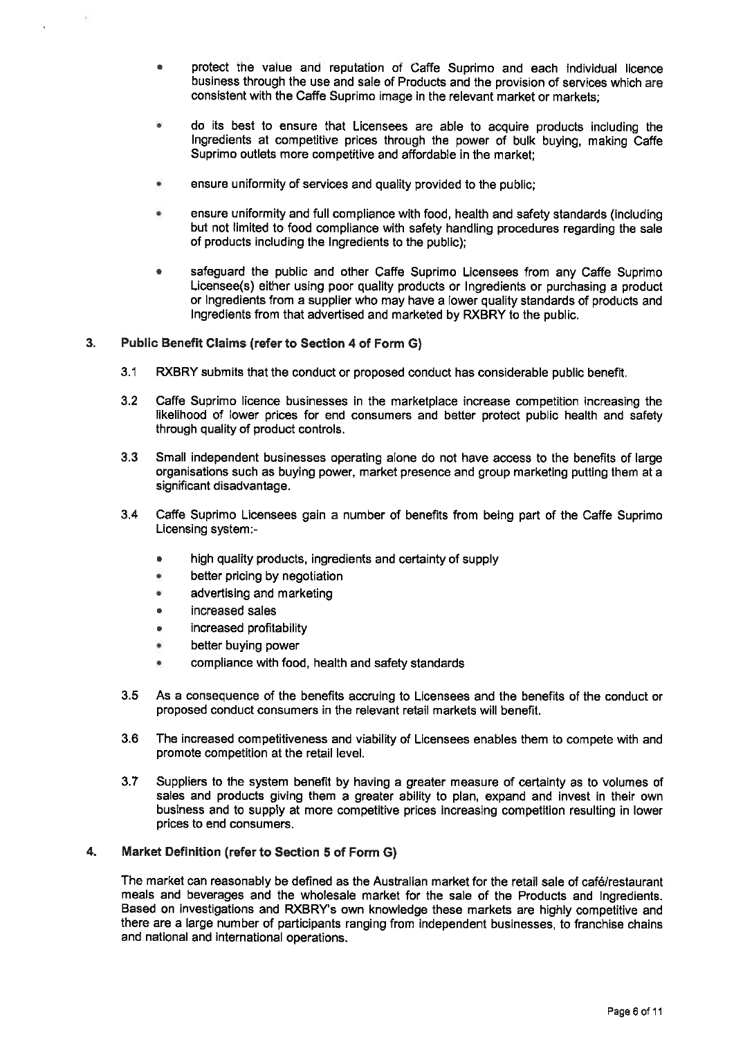- . protect ine value ana reputation of Caffe Suprimo and each individual licence business through the use and sale of Products and the provision of services which are consistent with the Caffe Suprimo image in the relevant market or markets;
- do its best to ensure that Licensees are able to acquire products including the Ingredients at competitive prices through the power of bulk buying, making Caffe Suprimo outlets more competitive and affordable in the market;
- ensure uniformity of services and quality provided to the public;
- ensure uniformity and full compliance with food, health and safety standards (including but not limited to food compliance with safety handling procedures regarding the sale of products including the Ingredients to the public);
- . safeguard the public and other Gaffe Suprimo Licensees from any Gaffe Suprimo Licensee(s) either using poor quality products or Ingredients or purchasing a product or Ingredients from a supplier who may have a lower quality standards of products and Ingredients from that advertised and marketed by RXBRY to the public.

## 3. Public Benefit Claims (refer to Section 4 of Form G)

- 3.1 RXBRY submits that the conduct or proposed conduct has considerable public benefit.
- 3.2 Caffe Suprimo licence businesses in the marketplace increase competition increasing the likelihood of lower prices for end consumers and better protect public health and safety through quality of product controls.
- 3.3 Small independent businesses operating alone do not have access to the benefits of large organisations such as buying power, market presence and group marketing putting them at a significant disadvantage.
- 3.4 Caffe Suprimo Licensees gain a number of benefits from being part of the Gaffe Suprimo Licensing system:-
	- . high quality products, ingredients and certainty of supply
	- better pricing by negotiation  $\ddot{\phantom{0}}$
	- ä advertising and marketing
	- . increased sales
	- . increased profitability
	- better buying power ۰
	- compliance with food, health and safety standards ×.
- 3.5 As a consequence of the benefits accruing to Licensees and the benefits of the conduct or proposed conduct consumers in the relevant retail markets will benefit.
- 3.6 The increased competitiveness and viability of Licensees enables them to compete with and promote competition at the retail level.
- 3.7 Suppliers to the system benefit by having a greater measure of certainty as to volumes of sales and products giving them a greater ability to plan, expand and invest in their own business and to supply at more competitive prices increasing competition resulting in lower prices to end consumers.

#### 4. Market Definition (refer to Section 5 of Form G)

The market can reasonably be defined as the Australian market for the retail sale of cafe/restaurant meals and beverages and the wholesale market for the sale of the Products and Ingredients. Based on investigations and RXBRY's own knowledge these markets are highly competitive and there are a large number of participants ranging from independent businesses, to franchise chains and national and international operations.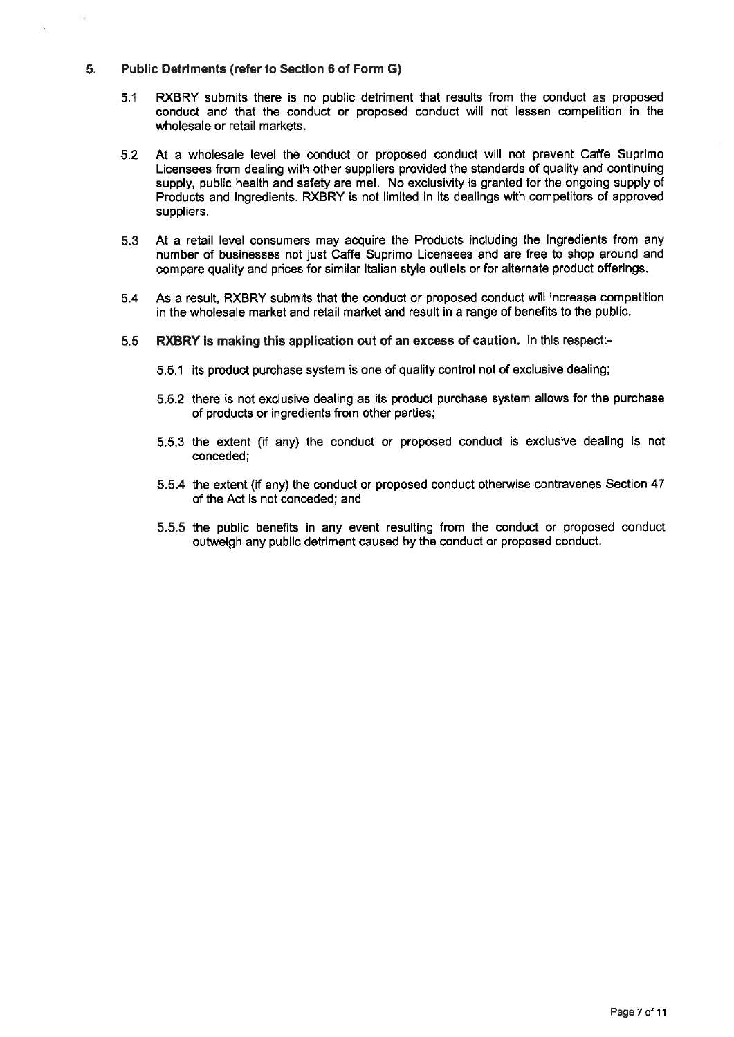# 5. Public Detriments (refer to Section 6 of Form G)

- 5.1 RXBRY submits there is no public detriment that results from the conduct as proposed conduct and that the conduct or proposed conduct will not lessen competition in the wholesale or retail markets.
- 5.2 At a wholesale level the conduct or proposed conduct will not prevent Caffe Suprimo Licensees from dealing with other suppliers provided the standards of quality and continuing supply, public health and safety are met. No exclusivity is granted for the ongoing supply of Products and Ingredients. RXBRY is not limited in its dealings with competitors of approved suppliers.
- 5.3 At a retail level consumers may acquire the Products Including the Ingredients from any number of businesses not just Gaffe Suprimo Licensees and are free to shop around and compare quality and prices for similar Italian style outlets or for alternate product offerings.
- 5.4 As a result, RXBRY submits that the conduct or proposed conduct will increase competition in the wholesale market and retail market and result in a range of benefits to the public.
- 5.5 RXBRY is making this application out of an excess of caution. In this respect:-
	- 5.5.1 its product purchase system is one of quality control not of exclusive dealing;
	- 5.5.2 there is not exclusive dealing as its product purchase system allows for the purchase of products or ingredients from other parties;
	- 5.5.3 the extent (if any) the conduct or proposed conduct is exclusive dealing is not conceded;
	- 5.5.4 the extent (if any) the conduct or proposed conduct otherwise contravenes Section 47 of the Act is not conceded;and
	- 5.5.5 the public benefits in any event resulting from the conduct or proposed conduct outweigh any public detriment caused by the conduct or proposed conduct.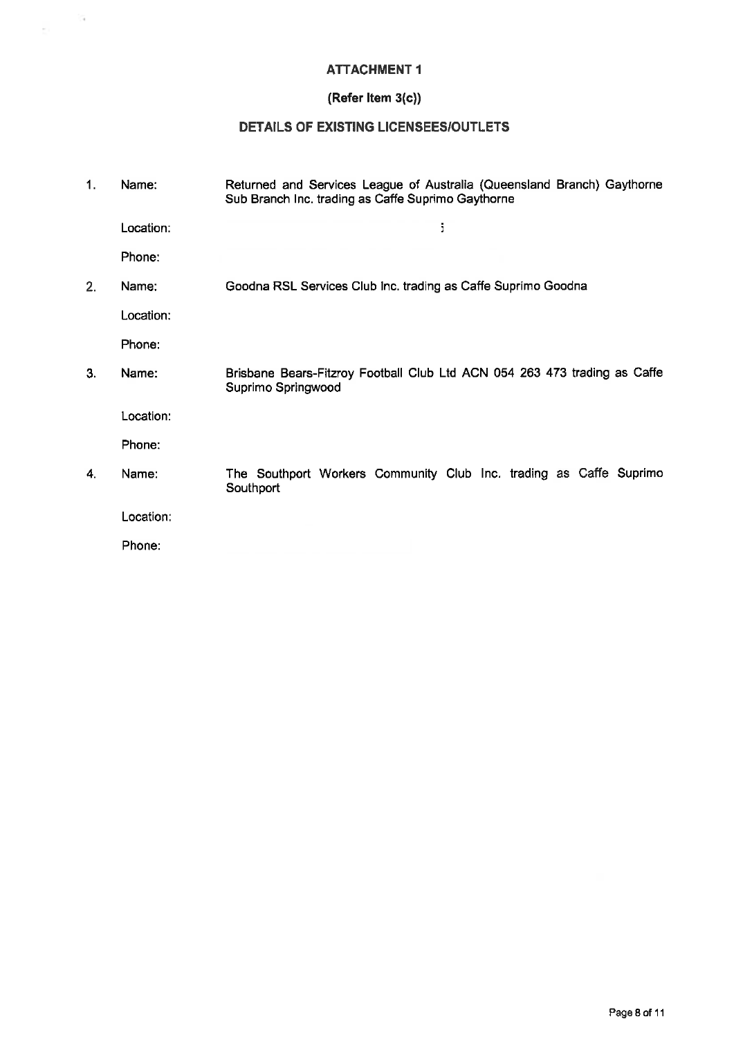# ATTACHMENT 1

 $\frac{1}{\sqrt{2}}$  .

# (Refer Item 3(c))

# DETAILS OF EXISTING LICENSEES/OUTLETS

| 1. | Name:     | Returned and Services League of Australia (Queensland Branch) Gaythorne<br>Sub Branch Inc. trading as Caffe Suprimo Gaythorne |
|----|-----------|-------------------------------------------------------------------------------------------------------------------------------|
|    | Location: | ĵ,                                                                                                                            |
|    | Phone:    |                                                                                                                               |
| 2. | Name:     | Goodna RSL Services Club Inc. trading as Caffe Suprimo Goodna                                                                 |
|    | Location: |                                                                                                                               |
|    | Phone:    |                                                                                                                               |
| 3. | Name:     | Brisbane Bears-Fitzroy Football Club Ltd ACN 054 263 473 trading as Caffe<br>Suprimo Springwood                               |
|    | Location: |                                                                                                                               |
|    | Phone:    |                                                                                                                               |
| 4. | Name:     | The Southport Workers Community Club Inc. trading as Caffe Suprimo<br>Southport                                               |
|    | Location: |                                                                                                                               |
|    | Phone:    |                                                                                                                               |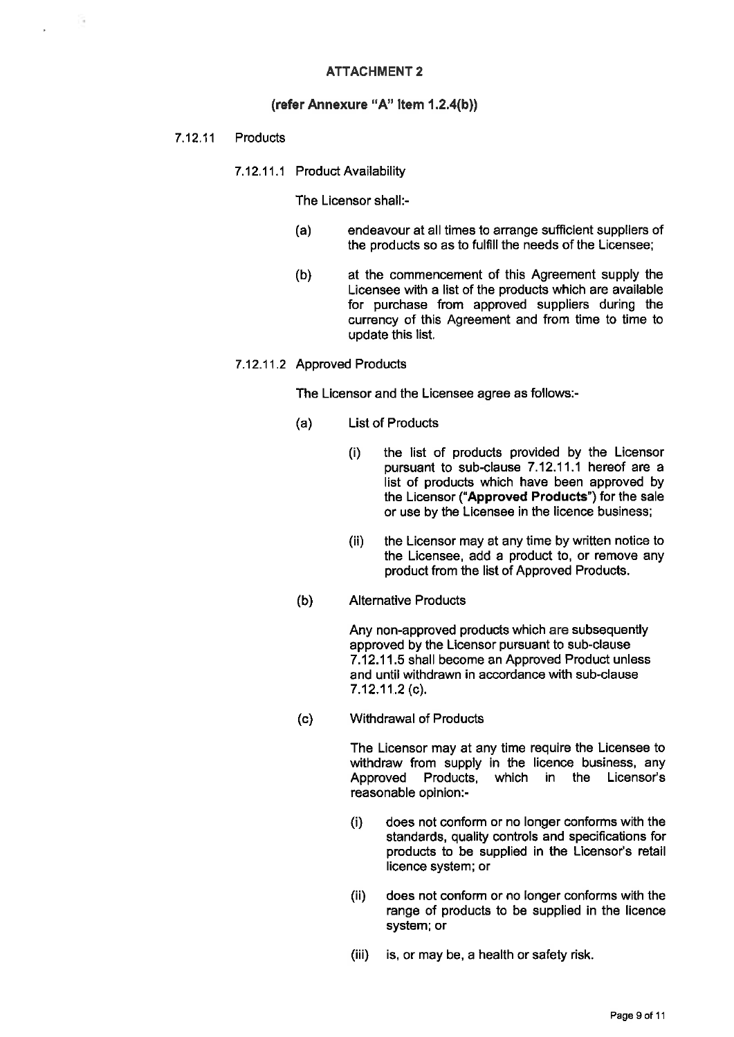# ATTACHMENT 2

### (refer Annexure "A" Item 1.2.4(b))

## 7.12.11 Products

7.12.11.1 Product Availability

#### The Licensor shall:-

- (a) endeavour at all times to arrange sufficient suppliers of the products so as to fulfill the needs of the Licensee;
- (b) at the commencement of this Agreement supply the Licensee with a list of the products which are available for purchase from approved suppliers during the currency of this Agreement and from time to time to update this list.

#### 7.12.11.2 Approved Products

The Licensor and the Licensee agree as follows:-

- (a) List of Products
	- (i) the list of products provided by the Licensor pursuant to sub-clause 7.12.11.1 hereof are a list of products which have been approved by the Licensor ("Approved Products') for the sale or use by the Licensee in the licence business;
	- (ii) the Licensor may at any time by written notice to the Licensee, add a product to, or remove any product from the list of Approved Products.
- (b) Alternative Products

Any non-approved products which are subsequently approved by the Licensor pursuant to sub-clause 7.12.11.5 shall become an Approved Product unless and until withdrawn in accordance with sub-clause 7.12.11.2(0).

(c) Withdrawal of Products

The Licensor may at any time require the Licensee to withdraw from supply in the licence business, any<br>Approved Products, which in the Licensor's Approved Products, which in the reasonable opinion:-

- (i) does not conform or no longer conforms with the standards, quality controls and specifications for products to be supplied in the Licensor's retail licence system; or
- (ii) does not conform or no longer conforms with the range of products to be supplied in the licence system; or
- (iii) is, or may be, a health or safety risk.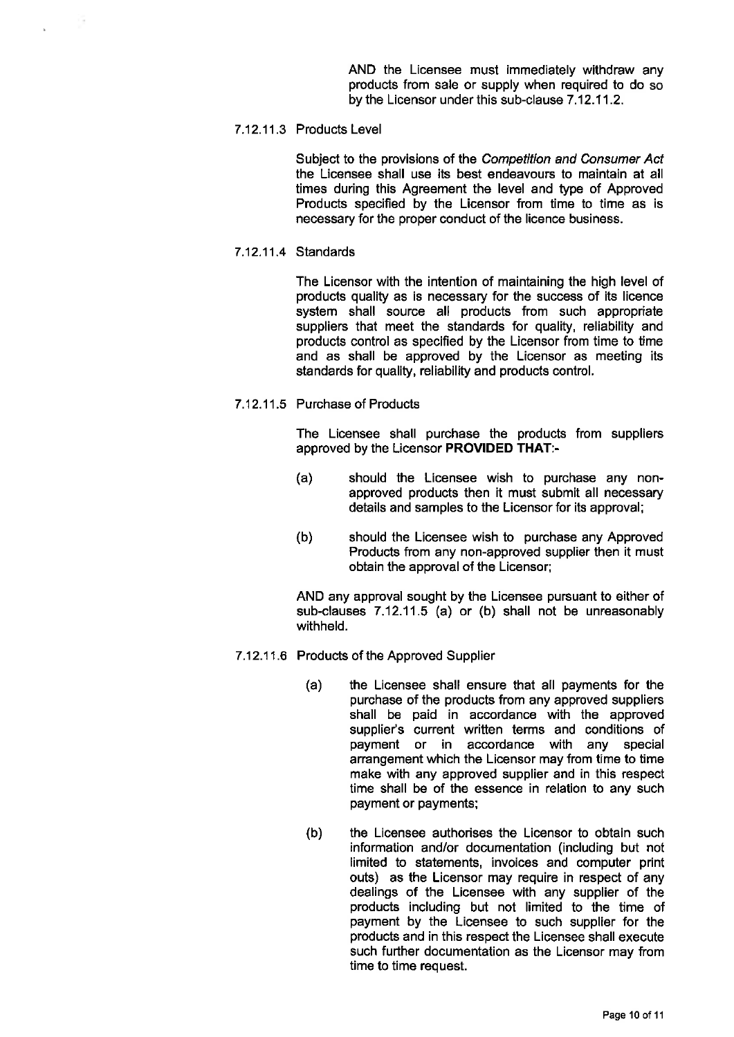AND the Licensee must immediately withdraw any products from sale or supply when required to do so by the Licensor under this sub-clause 7.12.11.2.

#### 7.12.11.3 Products Level

Subject to the provisions of the Competition and Consumer Act the Licensee shall use its best endeavours to maintain at all times during this Agreement the level and type of Approved Products specified by the Licensor from time to time as is necessary for the proper conduct of the licence business.

7.12.11.4 Standards

The Licensor with the intention of maintaining the high level of products quality as is necessary for the success of its licence system shall source all products from such appropriate suppliers that meet the standards for quality, reliability and products control as specified by the Licensor from time to time and as shall be approved by the Licensor as meeting its standards for quality, reliability and products control.

7.12.11.5 Purchase of Products

The Licensee shall purchase the products from suppliers approved by the Licensor PROVIDED THAT:-

- (a) should the Licensee wish to purchase any nonapproved products then it must submit all necessary details and samples to the Licensor for its approval;
- (b) should the Licensee wish to purchase any Approved Products from any non-approved supplier then it must obtain the approval of the Licensor;

AND any approval sought by the Licensee pursuant to either of sub-clauses 7.12.11.5 (a) or (b) shall not be unreasonably withheld.

- 7.12.11.6 Products of the Approved Supplier
	- (a) the Licensee shall ensure that all payments for the purchase of the products from any approved suppliers shall be paid in accordance with the approved supplier's current written terms and conditions of payment or in accordance with any special arrangement which the Licensor may from time to time make with any approved supplier and in this respect time shall be of the essence in relation to any such payment or payments;
	- (b) the Licensee authorises the Licensor to obtain such information and/or documentation (including but not limited to statements, invoices and computer print outs) as the Licensor may require in respect of any dealings of the Licensee with any supplier of the products including but not limited to the time of payment by the Licensee to such supplier for the products and in this respect the Licensee shall execute such further documentation as the Licensor may from time to time request.